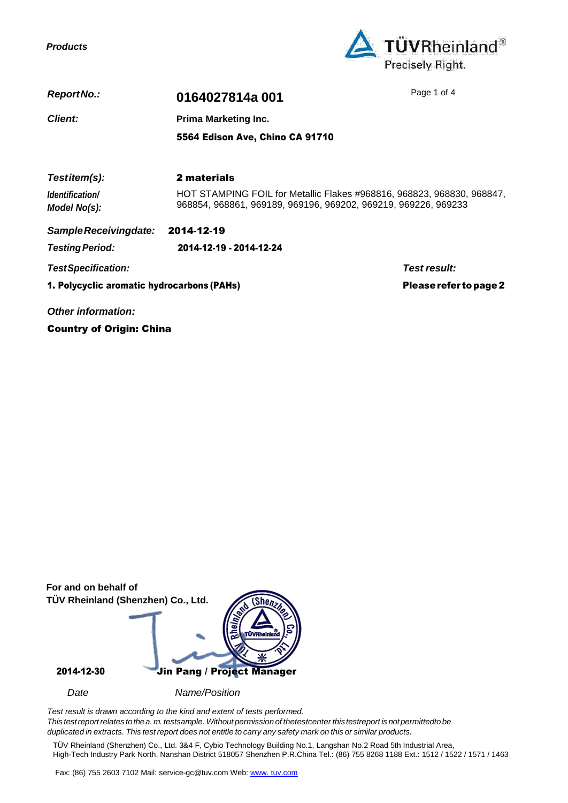*Products*



| ReportNo.:                                 | 0164027814a001                                                                                                                           | Page 1 of 4            |
|--------------------------------------------|------------------------------------------------------------------------------------------------------------------------------------------|------------------------|
| <b>Client:</b>                             | <b>Prima Marketing Inc.</b>                                                                                                              |                        |
|                                            | 5564 Edison Ave, Chino CA 91710                                                                                                          |                        |
| Testitem(s):                               | 2 materials                                                                                                                              |                        |
| Identification/<br>Model No(s):            | HOT STAMPING FOIL for Metallic Flakes #968816, 968823, 968830, 968847.<br>968854, 968861, 969189, 969196, 969202, 969219, 969226, 969233 |                        |
| Sample Receivingdate:                      | 2014-12-19                                                                                                                               |                        |
| <b>Testing Period:</b>                     | 2014-12-19 - 2014-12-24                                                                                                                  |                        |
| <b>TestSpecification:</b>                  |                                                                                                                                          | Test result:           |
| 1. Polycyclic aromatic hydrocarbons (PAHs) |                                                                                                                                          | Please refer to page 2 |
|                                            |                                                                                                                                          |                        |

*Other information:*

Country of Origin: China

| For and on behalf of<br>TÜV Rheinland (Shenzhen) Co., Ltd. | $\frac{\text{She}_{n}}{\text{She}_{n}}$<br>-800<br><b>rÜVRheinland</b> |
|------------------------------------------------------------|------------------------------------------------------------------------|
| 2014-12-30                                                 | Jin Pang / Project Manager                                             |
| Date                                                       | Name/Position                                                          |

*Test result is drawn according to the kind and extent of tests performed. This testreportrelates tothea. m. testsample. Without permission of thetestcenter thistestreport is notpermittedto be*  duplicated in extracts. This test report does not entitle to carry any safety mark on this or similar products.

TÜV Rheinland (Shenzhen) Co., Ltd. 3&4 F, Cybio Technology Building No.1, Langshan No.2 Road 5th Industrial Area, High-Tech Industry Park North, Nanshan District 518057 Shenzhen P.R.China Tel.: (86) 755 8268 1188 Ext.: 1512 / 1522 / 1571 / 1463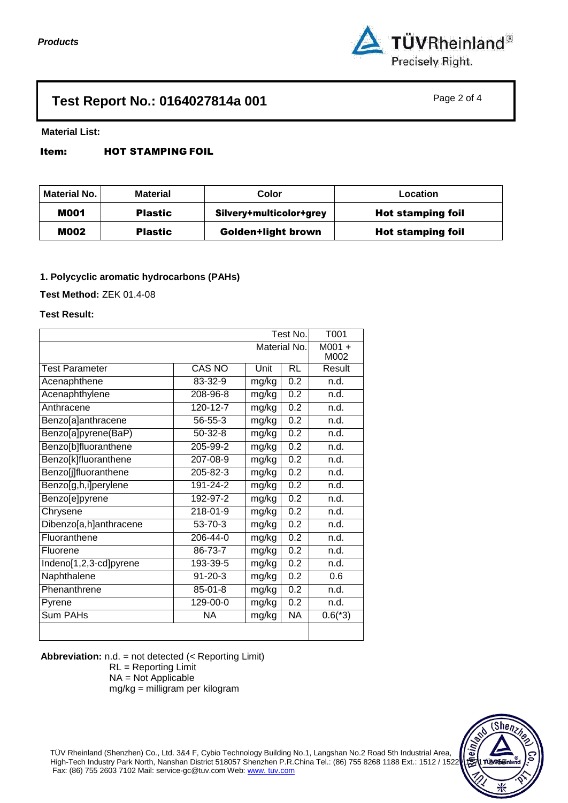

# **Test Report No.: 0164027814a 001** Page 2 of 4

**Material List:**

## Item: HOT STAMPING FOIL

| Material No. | <b>Material</b> | Color                     | Location                 |
|--------------|-----------------|---------------------------|--------------------------|
| <b>M001</b>  | <b>Plastic</b>  | Silvery+multicolor+grey   | <b>Hot stamping foil</b> |
| <b>M002</b>  | <b>Plastic</b>  | <b>Golden+light brown</b> | <b>Hot stamping foil</b> |

## **1. Polycyclic aromatic hydrocarbons (PAHs)**

**Test Method:** ZEK 01.4-08

## **Test Result:**

|                        | T001           |       |                  |           |
|------------------------|----------------|-------|------------------|-----------|
|                        | $M001 +$       |       |                  |           |
|                        |                |       |                  | M002      |
| <b>Test Parameter</b>  | <b>CAS NO</b>  | Unit  | <b>RL</b>        | Result    |
| Acenaphthene           | 83-32-9        | mg/kg | 0.2              | n.d.      |
| Acenaphthylene         | 208-96-8       | mg/kg | $\overline{0.2}$ | n.d.      |
| Anthracene             | $120 - 12 - 7$ | mg/kg | 0.2              | n.d.      |
| Benzo[a]anthracene     | $56 - 55 - 3$  | mg/kg | 0.2              | n.d.      |
| Benzo[a]pyrene(BaP)    | $50 - 32 - 8$  | mg/kg | 0.2              | n.d.      |
| Benzo[b]fluoranthene   | 205-99-2       | mg/kg | 0.2              | n.d.      |
| Benzo[k]fluoranthene   | 207-08-9       | mg/kg | 0.2              | n.d.      |
| Benzo[j]fluoranthene   | 205-82-3       | mg/kg | 0.2              | n.d.      |
| Benzo[g,h,i]perylene   | $191 - 24 - 2$ | mg/kg | $\overline{0.2}$ | n.d.      |
| Benzo[e]pyrene         | 192-97-2       | mg/kg | $\overline{0.2}$ | n.d.      |
| Chrysene               | $218 - 01 - 9$ | mg/kg | 0.2              | n.d.      |
| Dibenzo[a,h]anthracene | $53 - 70 - 3$  | mg/kg | 0.2              | n.d.      |
| Fluoranthene           | 206-44-0       | mg/kg | $\overline{0.2}$ | n.d.      |
| Fluorene               | 86-73-7        | mg/kg | 0.2              | n.d.      |
| Indeno[1,2,3-cd]pyrene | 193-39-5       | mg/kg | 0.2              | n.d.      |
| Naphthalene            | $91 - 20 - 3$  | mg/kg | 0.2              | 0.6       |
| Phenanthrene           | $85 - 01 - 8$  | mg/kg | $\overline{0.2}$ | n.d.      |
| Pyrene                 | $129 - 00 - 0$ | mg/kg | $\overline{0.2}$ | n.d.      |
| Sum PAHs               | <b>NA</b>      | mg/kg | <b>NA</b>        | $0.6(*3)$ |
|                        |                |       |                  |           |

**Abbreviation:** n.d. = not detected (< Reporting Limit)

RL = Reporting Limit NA = Not Applicable mg/kg = milligram per kilogram

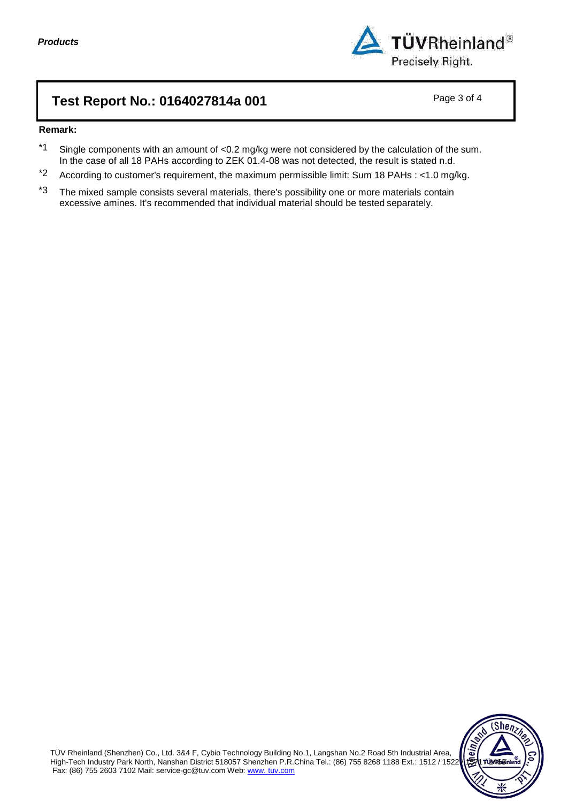

# **Test Report No.: 0164027814a 001** Page 3 of 4

## **Remark:**

- \*1 Single components with an amount of <0.2 mg/kg were not considered by the calculation of the sum. In the case of all 18 PAHs according to ZEK 01.4-08 was not detected, the result is stated n.d.
- \*2 According to customer's requirement, the maximum permissible limit: Sum 18 PAHs : <1.0 mg/kg.
- $*3$  The mixed sample consists several materials, there's possibility one or more materials contain excessive amines. It's recommended that individual material should be tested separately.

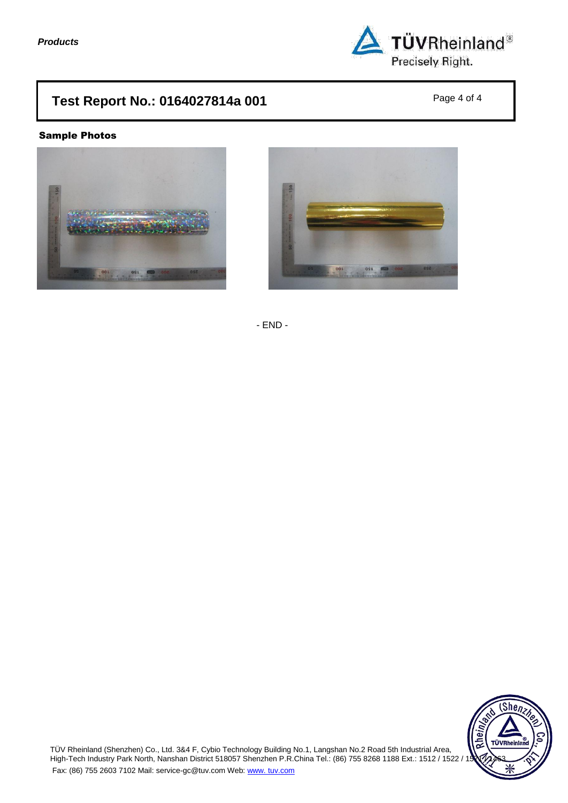

# **Test Report No.: 0164027814a 001** Page 4 of 4

## Sample Photos





- END -